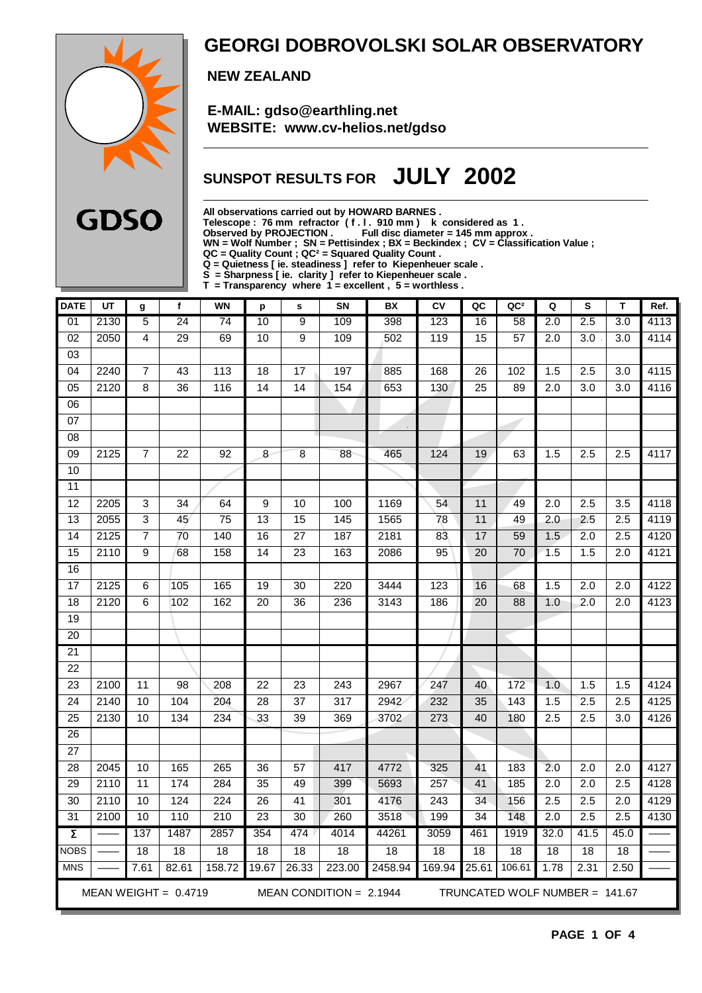

### **GEORGI DOBROVOLSKI SOLAR OBSERVATORY**

 **NEW ZEALAND**

 **E-MAIL: gdso@earthling.net WEBSITE: www.cv-helios.net/gdso**

### **SUNSPOT RESULTS FOR JULY 2002**

**All observations carried out by HOWARD BARNES .**

**Telescope : 76 mm refractor ( f . l . 910 mm ) k considered as 1 .**

**Observed by PROJECTION . Full disc diameter = 145 mm approx .**

**WN = Wolf Number ; SN = Pettisindex ; BX = Beckindex ; CV = Classification Value ; QC = Quality Count ; QC² = Squared Quality Count .**

**Q = Quietness [ ie. steadiness ] refer to Kiepenheuer scale .**

**S = Sharpness [ ie. clarity ] refer to Kiepenheuer scale .**

**T = Transparency where 1 = excellent , 5 = worthless .**

| <b>DATE</b>         | UT   | g               | $\mathbf{f}$           | <b>WN</b>        | p               | s               | SN                        | BX      | CV               | QC              | QC <sup>2</sup>                | Q                | S                | T                | Ref. |
|---------------------|------|-----------------|------------------------|------------------|-----------------|-----------------|---------------------------|---------|------------------|-----------------|--------------------------------|------------------|------------------|------------------|------|
| $\overline{01}$     | 2130 | $\overline{5}$  | $\overline{24}$        | 74               | 10              | $\overline{9}$  | 109                       | 398     | 123              | 16              | $\overline{58}$                | $\overline{2.0}$ | 2.5              | $\overline{3.0}$ | 4113 |
| 02                  | 2050 | $\overline{4}$  | 29                     | 69               | 10              | $\overline{9}$  | 109                       | 502     | 119              | 15              | 57                             | 2.0              | $\overline{3.0}$ | $\overline{3.0}$ | 4114 |
| 03                  |      |                 |                        |                  |                 |                 |                           |         |                  |                 |                                |                  |                  |                  |      |
| 04                  | 2240 | 7               | 43                     | 113              | 18              | 17              | 197                       | 885     | 168              | 26              | 102                            | 1.5              | 2.5              | 3.0              | 4115 |
| $\overline{05}$     | 2120 | $\overline{8}$  | $\overline{36}$        | 116              | 14              | 14              | 154                       | 653     | 130              | 25              | 89                             | $\overline{2.0}$ | $\overline{3.0}$ | 3.0              | 4116 |
| $\overline{06}$     |      |                 |                        |                  |                 |                 |                           |         |                  |                 |                                |                  |                  |                  |      |
| 07                  |      |                 |                        |                  |                 |                 |                           |         |                  |                 |                                |                  |                  |                  |      |
| 08                  |      |                 |                        |                  |                 |                 |                           |         |                  |                 |                                |                  |                  |                  |      |
| 09                  | 2125 | $\overline{7}$  | 22                     | 92               | 8               | 8               | 88                        | 465     | 124              | 19              | 63                             | 1.5              | 2.5              | 2.5              | 4117 |
| $\overline{10}$     |      |                 |                        |                  |                 |                 |                           |         |                  |                 |                                |                  |                  |                  |      |
| $\overline{11}$     |      |                 |                        |                  |                 |                 |                           |         |                  |                 |                                |                  |                  |                  |      |
| 12                  | 2205 | 3               | 34                     | 64               | 9               | 10              | 100                       | 1169    | 54               | 11              | 49                             | 2.0              | 2.5              | 3.5              | 4118 |
| 13                  | 2055 | 3               | 45                     | 75               | 13              | 15              | 145                       | 1565    | 78               | 11              | 49                             | 2.0              | 2.5              | 2.5              | 4119 |
| 14                  | 2125 | $\overline{7}$  | $\overline{70}$        | 140              | 16              | $\overline{27}$ | 187                       | 2181    | 83               | 17              | 59                             | 1.5              | 2.0              | $\overline{2.5}$ | 4120 |
| $\overline{15}$     | 2110 | 9               | 68                     | 158              | $\overline{14}$ | $\overline{23}$ | 163                       | 2086    | 95               | $\overline{20}$ | $\overline{70}$                | 1.5              | 1.5              | 2.0              | 4121 |
| 16                  |      |                 |                        |                  |                 |                 |                           |         |                  |                 |                                |                  |                  |                  |      |
| $\overline{17}$     | 2125 | $\overline{6}$  | 105                    | 165              | $\overline{19}$ | $\overline{30}$ | 220                       | 3444    | 123              | 16              | 68                             | 1.5              | $\overline{2.0}$ | $\overline{2.0}$ | 4122 |
| 18                  | 2120 | 6               | 102                    | 162              | 20              | 36              | 236                       | 3143    | 186              | 20              | 88                             | 1.0              | 2.0              | 2.0              | 4123 |
| 19                  |      |                 |                        |                  |                 |                 |                           |         |                  |                 |                                |                  |                  |                  |      |
| $\overline{20}$     |      |                 |                        |                  |                 |                 |                           |         |                  |                 |                                |                  |                  |                  |      |
| $\overline{21}$     |      |                 |                        |                  |                 |                 |                           |         |                  |                 |                                |                  |                  |                  |      |
| 22                  |      |                 |                        |                  |                 |                 |                           |         |                  |                 |                                |                  |                  |                  |      |
| 23                  | 2100 | 11              | $\overline{98}$        | 208              | $\overline{22}$ | $\overline{23}$ | 243                       | 2967    | 247              | 40              | 172                            | 1.0              | 1.5              | 1.5              | 4124 |
| $\overline{24}$     | 2140 | 10              | 104                    | 204              | $\overline{28}$ | $\overline{37}$ | $\overline{317}$          | 2942    | 232              | 35              | 143                            | 1.5              | $\overline{2.5}$ | 2.5              | 4125 |
| $\overline{25}$     | 2130 | 10              | 134                    | 234              | 33              | 39              | 369                       | 3702    | 273              | 40              | 180                            | 2.5              | 2.5              | 3.0              | 4126 |
| 26                  |      |                 |                        |                  |                 |                 |                           |         |                  |                 |                                |                  |                  |                  |      |
| $\overline{27}$     |      |                 |                        |                  |                 |                 |                           |         |                  |                 |                                |                  |                  |                  |      |
| 28                  | 2045 | 10              | 165                    | 265              | $\overline{36}$ | $\overline{57}$ | 417                       | 4772    | 325              | 41              | 183                            | 2.0              | $\overline{2.0}$ | $\overline{2.0}$ | 4127 |
| 29                  | 2110 | 11              | 174                    | 284              | 35              | 49              | 399                       | 5693    | 257              | 41              | 185                            | 2.0              | 2.0              | 2.5              | 4128 |
| $\overline{30}$     | 2110 | 10              | 124                    | 224              | $\overline{26}$ | 41              | 301                       | 4176    | $\overline{243}$ | 34              | 156                            | 2.5              | 2.5              | $\overline{2.0}$ | 4129 |
| 31                  | 2100 | 10              | 110                    | $\overline{210}$ | $\overline{23}$ | 30              | 260                       | 3518    | 199              | 34              | 148                            | $\overline{2.0}$ | $\overline{2.5}$ | 2.5              | 4130 |
| $\overline{\Sigma}$ |      | 137             | 1487                   | 2857             | 354             | 474             | 4014                      | 44261   | 3059             | 461             | 1919                           | 32.0             | 41.5             | 45.0             |      |
| <b>NOBS</b>         |      | $\overline{18}$ | $\overline{18}$        | $\overline{18}$  | 18              | $\overline{18}$ | 18                        | 18      | $\overline{18}$  | 18              | $\overline{18}$                | $\overline{18}$  | $\overline{18}$  | $\overline{18}$  |      |
| <b>MNS</b>          |      | 7.61            | 82.61                  | 158.72           | 19.67           | 26.33           | 223.00                    | 2458.94 | 169.94           | 25.61           | 106.61                         | 1.78             | 2.31             | 2.50             |      |
|                     |      |                 | MEAN WEIGHT = $0.4719$ |                  |                 |                 | MEAN CONDITION = $2.1944$ |         |                  |                 | TRUNCATED WOLF NUMBER = 141.67 |                  |                  |                  |      |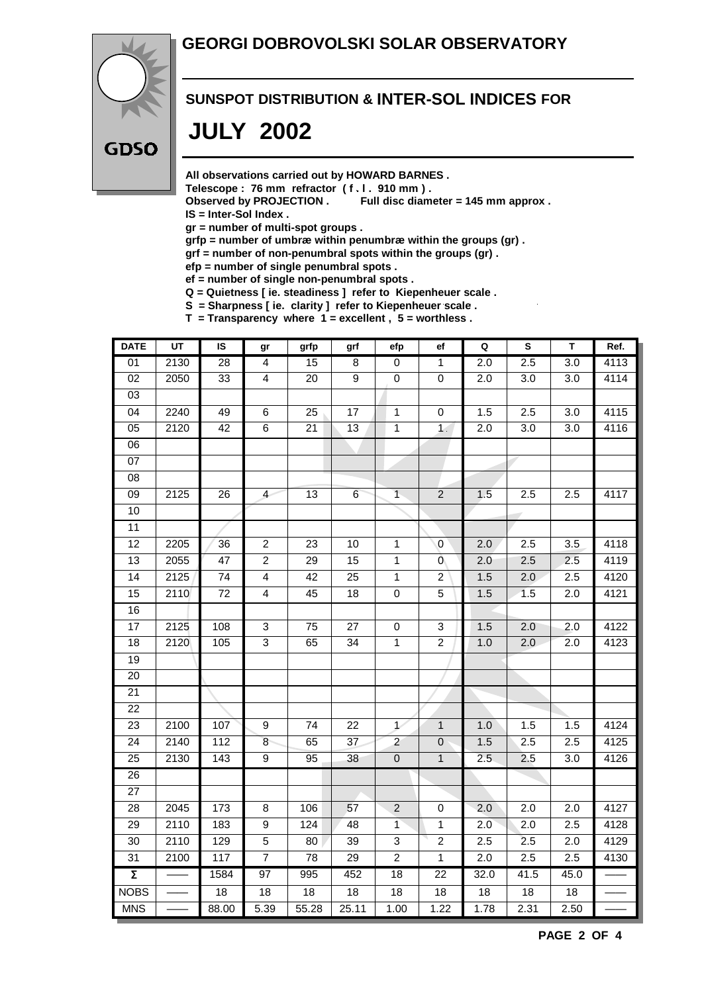#### **GEORGI DOBROVOLSKI SOLAR OBSERVATORY**



#### **SUNSPOT DISTRIBUTION & INTER-SOL INDICES FOR**

## **JULY 2002**

**All observations carried out by HOWARD BARNES .**

Telescope : 76 mm refractor (f. l. 910 mm).<br>Observed by PROJECTION . Full disc diam

Full disc diameter = 145 mm approx .

**IS = Inter-Sol Index .**

**gr = number of multi-spot groups .**

**grfp = number of umbræ within penumbræ within the groups (gr) .**

**grf = number of non-penumbral spots within the groups (gr) .**

**efp = number of single penumbral spots .**

**ef = number of single non-penumbral spots .**

**Q = Quietness [ ie. steadiness ] refer to Kiepenheuer scale .**

**S = Sharpness [ ie. clarity ] refer to Kiepenheuer scale . T = Transparency where 1 = excellent , 5 = worthless .**

| <b>DATE</b>         | $\overline{u}$ | IS              | gr              | grfp            | grf             | efp             | ef                        | Q               | $\overline{\mathbf{s}}$ | $\overline{\mathsf{r}}$ | Ref. |
|---------------------|----------------|-----------------|-----------------|-----------------|-----------------|-----------------|---------------------------|-----------------|-------------------------|-------------------------|------|
| $\overline{01}$     | 2130           | $\overline{28}$ | 4               | 15              | 8               | $\overline{0}$  | $\mathbf{1}$              | 2.0             | 2.5                     | 3.0                     | 4113 |
| $\overline{02}$     | 2050           | $\overline{33}$ | $\overline{4}$  | $\overline{20}$ | $\overline{9}$  | $\pmb{0}$       | $\pmb{0}$                 | 2.0             | $\overline{3.0}$        | $\overline{3.0}$        | 4114 |
| 03                  |                |                 |                 |                 |                 |                 |                           |                 |                         |                         |      |
| $\overline{04}$     | 2240           | 49              | 6               | 25              | $\overline{17}$ | $\overline{1}$  | $\pmb{0}$                 | 1.5             | 2.5                     | 3.0                     | 4115 |
| 05                  | 2120           | $\overline{42}$ | 6               | 21              | 13              | $\overline{1}$  | 1 <sup>2</sup>            | 2.0             | 3.0                     | 3.0                     | 4116 |
| $\overline{06}$     |                |                 |                 |                 |                 |                 |                           |                 |                         |                         |      |
| 07                  |                |                 |                 |                 |                 |                 |                           |                 |                         |                         |      |
| $\overline{08}$     |                |                 |                 |                 |                 |                 |                           |                 |                         |                         |      |
| 09                  | 2125           | 26              | $\overline{4}$  | 13              | $6\phantom{.}6$ | $\overline{1}$  | $\overline{c}$            | 1.5             | 2.5                     | 2.5                     | 4117 |
| 10                  |                |                 |                 |                 |                 |                 |                           |                 |                         |                         |      |
| $\overline{11}$     |                |                 |                 |                 |                 |                 |                           |                 |                         |                         |      |
| 12                  | 2205           | 36              | $\overline{2}$  | 23              | 10              | $\mathbf{1}$    | $\mathbf 0$               | 2.0             | 2.5                     | 3.5                     | 4118 |
| $\overline{13}$     | 2055           | 47              | $\overline{2}$  | 29              | $\overline{15}$ | $\overline{1}$  | 0                         | 2.0             | 2.5                     | 2.5                     | 4119 |
| 14                  | 2125           | 74              | $\overline{4}$  | 42              | 25              | $\mathbf{1}$    | 2                         | 1.5             | 2.0                     | 2.5                     | 4120 |
| 15                  | 2110           | $\overline{72}$ | $\overline{4}$  | 45              | $\overline{18}$ | $\overline{0}$  | $\overline{5}$            | 1.5             | 1.5                     | 2.0                     | 4121 |
| 16                  |                |                 |                 |                 |                 |                 |                           |                 |                         |                         |      |
| 17                  | 2125           | 108             | $\mathbf{3}$    | 75              | 27              | $\pmb{0}$       | $\ensuremath{\mathsf{3}}$ | 1.5             | 2.0                     | 2.0                     | 4122 |
| 18                  | 2120           | 105             | $\overline{3}$  | 65              | 34              | $\overline{1}$  | $\overline{2}$            | 1.0             | 2.0                     | 2.0                     | 4123 |
| 19                  |                |                 |                 |                 |                 |                 |                           |                 |                         |                         |      |
| 20                  |                |                 |                 |                 |                 |                 |                           |                 |                         |                         |      |
| 21                  |                |                 |                 |                 |                 |                 |                           |                 |                         |                         |      |
| 22                  |                |                 |                 |                 |                 |                 |                           |                 |                         |                         |      |
| 23                  | 2100           | 107             | 9               | 74              | 22              | $\mathcal{L}$   | $\mathbf{1}$              | 1.0             | 1.5                     | 1.5                     | 4124 |
| $\overline{24}$     | 2140           | 112             | $\overline{8}$  | 65              | $\overline{37}$ | $\overline{2}$  | $\pmb{0}$                 | 1.5             | 2.5                     | 2.5                     | 4125 |
| 25                  | 2130           | 143             | 9               | 95              | 38              | $\pmb{0}$       | $\mathbf{1}$              | 2.5             | 2.5                     | 3.0                     | 4126 |
| $\overline{26}$     |                |                 |                 |                 |                 |                 |                           |                 |                         |                         |      |
| 27                  |                |                 |                 |                 |                 |                 |                           |                 |                         |                         |      |
| 28                  | 2045           | 173             | 8               | 106             | 57              | $\overline{2}$  | $\mathbf 0$               | 2.0             | 2.0                     | 2.0                     | 4127 |
| 29                  | 2110           | 183             | 9               | 124             | 48              | $\overline{1}$  | $\mathbf{1}$              | 2.0             | 2.0                     | 2.5                     | 4128 |
| $\overline{30}$     | 2110           | 129             | $\overline{5}$  | $\overline{80}$ | 39              | $\overline{3}$  | $\overline{2}$            | 2.5             | 2.5                     | $\overline{2.0}$        | 4129 |
| 31                  | 2100           | 117             | $\overline{7}$  | 78              | 29              | $\overline{2}$  | $\overline{1}$            | 2.0             | 2.5                     | 2.5                     | 4130 |
| $\overline{\Sigma}$ |                | 1584            | 97              | 995             | 452             | $\overline{18}$ | 22                        | 32.0            | 41.5                    | 45.0                    |      |
| <b>NOBS</b>         |                | $\overline{18}$ | $\overline{18}$ | $\overline{18}$ | 18              | $\overline{18}$ | $\overline{18}$           | $\overline{18}$ | $\overline{18}$         | $\overline{18}$         |      |
| <b>MNS</b>          |                | 88.00           | 5.39            | 55.28           | 25.11           | 1.00            | 1.22                      | 1.78            | 2.31                    | 2.50                    |      |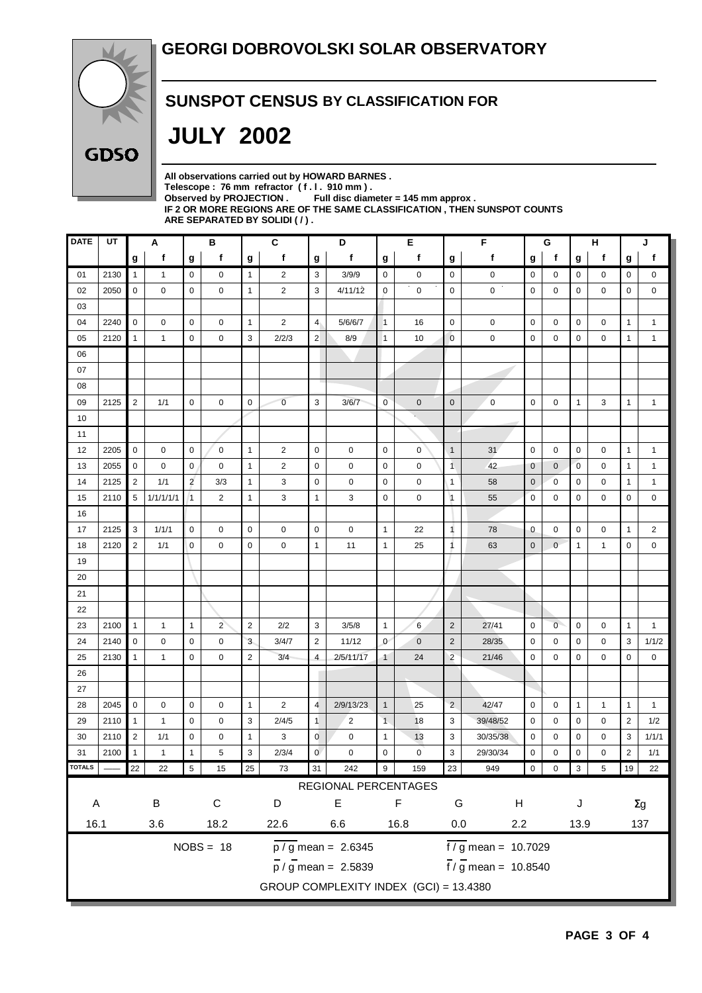

#### **SUNSPOT CENSUS BY CLASSIFICATION FOR**

# **JULY 2002**

| All observations carried out by HOWARD BARNES.                            |
|---------------------------------------------------------------------------|
| Telescope: 76 mm refractor (f.l. 910 mm).                                 |
| Observed by PROJECTION $\,$ Full disc diameter = 145 mm approx .          |
| IF 2 OR MORE REGIONS ARE OF THE SAME CLASSIFICATION . THEN SUNSPOT COUNTS |
| ARE SEPARATED BY SOLIDI ( / ).                                            |

| <b>DATE</b>   | UT   | Α              |              | в              |                | C              |                | D               |                                           | Е              |             | F                            |                                  | G           |                | н              |                | J              |              |
|---------------|------|----------------|--------------|----------------|----------------|----------------|----------------|-----------------|-------------------------------------------|----------------|-------------|------------------------------|----------------------------------|-------------|----------------|----------------|----------------|----------------|--------------|
|               |      | g              | f            | g              | f              | g              | f              | g               | f                                         | g              | f           | g                            | f                                | g           | f              | g              | f              | g              | f            |
| 01            | 2130 | $\mathbf{1}$   | $\mathbf{1}$ | $\mathbf 0$    | 0              | $\mathbf{1}$   | $\overline{c}$ | 3               | 3/9/9                                     | $\mathbf 0$    | 0           | $\mathbf 0$                  | 0                                | $\mathbf 0$ | 0              | 0              | 0              | 0              | 0            |
| 02            | 2050 | $\mathbf 0$    | $\mathbf 0$  | $\mathbf 0$    | $\mathbf 0$    | $\overline{1}$ | $\overline{2}$ | 3               | 4/11/12                                   | $\mathbf 0$    | $\mathbf 0$ | $\mathbf 0$                  | 0                                | $\mathbf 0$ | 0              | 0              | 0              | $\mathbf 0$    | 0            |
| 03            |      |                |              |                |                |                |                |                 |                                           |                |             |                              |                                  |             |                |                |                |                |              |
| 04            | 2240 | 0              | 0            | $\mathbf 0$    | 0              | $\mathbf{1}$   | $\overline{c}$ | $\overline{4}$  | 5/6/6/7                                   | $\overline{1}$ | 16          | $\mathbf 0$                  | 0                                | $\mathbf 0$ | 0              | 0              | 0              | $\mathbf{1}$   | 1            |
| 05            | 2120 | $\mathbf{1}$   | $\mathbf{1}$ | $\mathbf 0$    | $\mathbf 0$    | 3              | 2/2/3          | $\overline{2}$  | 8/9                                       | $\overline{1}$ | 10          | $\overline{0}$               | $\mathbf 0$                      | $\mathbf 0$ | $\mathbf 0$    | 0              | 0              | $\mathbf{1}$   | $\mathbf{1}$ |
| 06            |      |                |              |                |                |                |                |                 |                                           |                |             |                              |                                  |             |                |                |                |                |              |
| 07            |      |                |              |                |                |                |                |                 |                                           |                |             |                              |                                  |             |                |                |                |                |              |
| 08            |      |                |              |                |                |                |                |                 |                                           |                |             |                              |                                  |             |                |                |                |                |              |
| 09            | 2125 | $\overline{2}$ | 1/1          | $\mathbf 0$    | $\mathbf 0$    | $\mathbf 0$    | $\overline{0}$ | 3               | 3/6/7                                     | $\overline{0}$ | $\mathbf 0$ | $\mathbf 0$                  | $\mathbf 0$                      | $\mathbf 0$ | 0              | $\mathbf{1}$   | 3              | $\mathbf{1}$   | $\mathbf{1}$ |
| 10            |      |                |              |                |                |                |                |                 |                                           |                |             |                              |                                  |             |                |                |                |                |              |
| 11            |      |                |              |                |                |                |                |                 |                                           |                |             |                              |                                  |             |                |                |                |                |              |
| 12            | 2205 | 0              | 0            | 0              | 0              | $\overline{1}$ | 2              | $\mathbf 0$     | 0                                         | $\mathbf 0$    | 0           | $\mathbf{1}$                 | 31                               | $\mathbf 0$ | 0              | 0              | 0              | $\mathbf{1}$   | 1            |
| 13            | 2055 | $\mathbf 0$    | 0            | 0              | 0              | $\overline{1}$ | $\overline{c}$ | $\mathbf 0$     | 0                                         | $\mathbf 0$    | 0           | $\mathbf{1}$                 | 42                               | $\mathbf 0$ | $\mathbf 0$    | $\overline{0}$ | 0              | $\mathbf{1}$   | 1            |
| 14            | 2125 | 2              | 1/1          | $\overline{2}$ | 3/3            | $\overline{1}$ | 3              | $\mathbf 0$     | 0                                         | 0              | 0           | 1                            | 58                               | $\mathbf 0$ | 0              | 0              | 0              | $\mathbf{1}$   | 1            |
| 15            | 2110 | 5              | 1/1/1/1/1    | $\vert$ 1      | 2              | $\mathbf{1}$   | 3              | $\overline{1}$  | 3                                         | 0              | $\mathbf 0$ | $\overline{1}$               | 55                               | $\mathbf 0$ | 0              | 0              | 0              | 0              | 0            |
| 16            |      |                |              |                |                |                |                |                 |                                           |                |             |                              |                                  |             |                |                |                |                |              |
| 17            | 2125 | 3              | 1/1/1        | 0              | 0              | 0              | 0              | 0               | 0                                         | $\mathbf{1}$   | 22          | 1                            | 78                               | 0           | 0              | 0              | 0              | $\mathbf{1}$   | 2            |
| 18            | 2120 | 2              | 1/1          | $\mathbf 0$    | 0              | $\mathbf 0$    | 0              | $\overline{1}$  | 11                                        | $\mathbf{1}$   | 25          | 1                            | 63                               | $\mathbf 0$ | $\mathbf 0$    | $\mathbf{1}$   | $\mathbf{1}$   | $\mathbf 0$    | 0            |
| 19            |      |                |              |                |                |                |                |                 |                                           |                |             |                              |                                  |             |                |                |                |                |              |
| 20            |      |                |              |                |                |                |                |                 |                                           |                |             |                              |                                  |             |                |                |                |                |              |
| 21            |      |                |              |                |                |                |                |                 |                                           |                |             |                              |                                  |             |                |                |                |                |              |
| 22            |      |                |              |                |                |                |                |                 |                                           |                |             |                              |                                  |             |                |                |                |                |              |
| 23            | 2100 | $\mathbf{1}$   | $\mathbf{1}$ | 1              | $\overline{2}$ | $\overline{2}$ | 2/2            | 3               | 3/5/8                                     | $\mathbf{1}$   | 6           | $\overline{2}$               | 27/41                            | 0           | $\overline{0}$ | 0              | 0              | $\mathbf{1}$   | 1            |
| 24            | 2140 | 0              | 0            | 0              | 0              | 3              | 3/4/7          | $\overline{2}$  | 11/12                                     | $\mathbf{0}$   | $\pmb{0}$   | $\overline{2}$               | 28/35                            | $\mathbf 0$ | 0              | 0              | 0              | 3              | 1/1/2        |
| 25            | 2130 | $\mathbf{1}$   | $\mathbf{1}$ | 0              | 0              | $\overline{2}$ | 3/4            | $\overline{4}$  | 2/5/11/17                                 | $\mathbf{1}$   | 24          | $\overline{2}$               | 21/46                            | 0           | 0              | 0              | 0              | 0              | 0            |
| 26            |      |                |              |                |                |                |                |                 |                                           |                |             |                              |                                  |             |                |                |                |                |              |
| 27            |      |                |              |                |                |                |                |                 |                                           |                |             |                              |                                  |             |                |                |                |                |              |
| 28            | 2045 | 0              | 0            | 0              | 0              | $\mathbf{1}$   | 2              | $\overline{4}$  | 2/9/13/23                                 | $\mathbf{1}$   | 25          | $\overline{2}$               | 42/47                            | $\mathbf 0$ | 0              | $\mathbf{1}$   | 1              | $\mathbf{1}$   | 1            |
| 29            | 2110 | $\mathbf{1}$   | $\mathbf{1}$ | $\mathbf 0$    | 0              | 3              | 2/4/5          | $\overline{1}$  | $\overline{c}$                            | $\overline{1}$ | 18          | 3                            | 39/48/52                         | 0           | 0              | 0              | 0              | $\overline{2}$ | 1/2          |
| 30            | 2110 | $\overline{2}$ | 1/1          | 0              | 0              | $\mathbf{1}$   | 3              | $\mathbf 0$     | $\mathbf 0$                               | $\mathbf{1}$   | 13          | 3                            | 30/35/38                         | $\mathbf 0$ | 0              | 0              | $\mathbf 0$    | 3              | 1/1/1        |
| 31            | 2100 | $\mathbf{1}$   | $\mathbf{1}$ | 1              | 5              | 3              | 2/3/4          | $\mathbf{0}$    | 0                                         | 0              | 0           | 3                            | 29/30/34                         | $\mathbf 0$ | 0              | 0              | 0              | $\overline{2}$ | 1/1          |
| <b>TOTALS</b> |      | 22             | 22           | 5 <sub>1</sub> | 15             | 25             | 73             | 31              | 242                                       | $\sqrt{9}$     | 159         | 23                           | 949                              |             |                |                | $\overline{5}$ |                | 19 22        |
|               |      |                |              |                |                |                |                |                 | REGIONAL PERCENTAGES                      |                |             |                              |                                  |             |                |                |                |                |              |
| $\mathsf A$   |      |                | $\sf B$      |                | $\mathsf C$    |                | D              |                 | $\mathsf E$                               |                | $\mathsf F$ | G                            | H                                |             |                | J              |                |                | $\Sigma g$   |
| 16.1          |      |                | $3.6\,$      |                | 18.2           |                | 22.6           | $6.6\,$<br>16.8 |                                           |                |             | 0.0<br>2.2                   |                                  |             |                | 13.9           |                | 137            |              |
|               |      |                |              |                | $NOBS = 18$    |                |                |                 | $\overline{p}/\overline{g}$ mean = 2.6345 |                |             | $\frac{1}{6}$ mean = 10.7029 |                                  |             |                |                |                |                |              |
|               |      |                |              |                |                |                |                |                 | $\frac{1}{p}$ / g mean = 2.5839           |                |             |                              | $\frac{1}{1}$ / g mean = 10.8540 |             |                |                |                |                |              |
|               |      |                |              |                |                |                |                |                 | GROUP COMPLEXITY INDEX (GCI) = 13.4380    |                |             |                              |                                  |             |                |                |                |                |              |
|               |      |                |              |                |                |                |                |                 |                                           |                |             |                              |                                  |             |                |                |                |                |              |